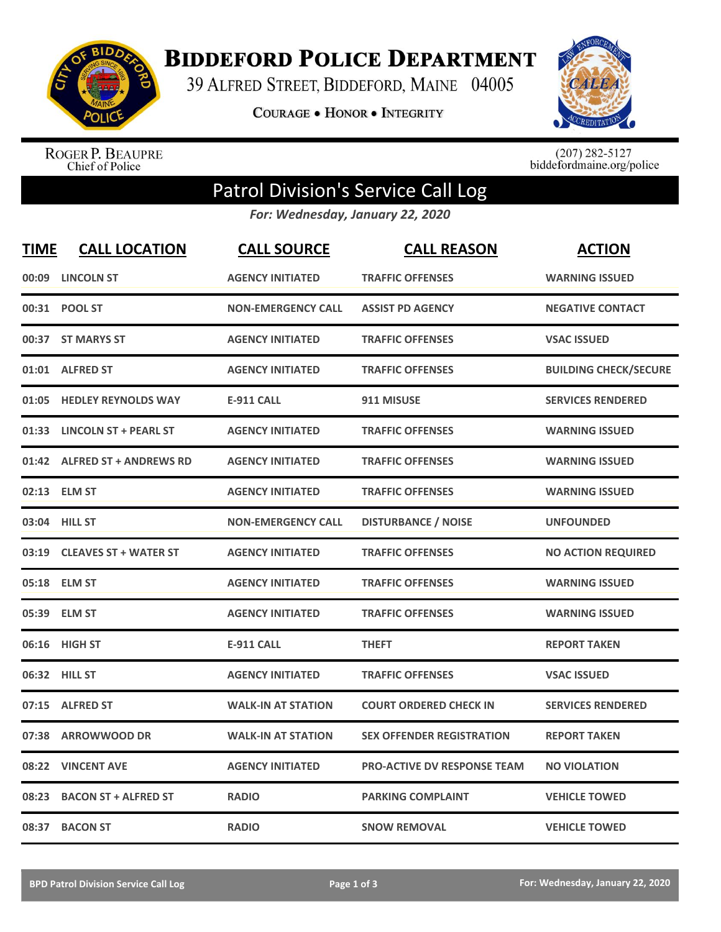

**BIDDEFORD POLICE DEPARTMENT** 

39 ALFRED STREET, BIDDEFORD, MAINE 04005

**COURAGE . HONOR . INTEGRITY** 



ROGER P. BEAUPRE<br>Chief of Police

 $(207)$  282-5127<br>biddefordmaine.org/police

## Patrol Division's Service Call Log

*For: Wednesday, January 22, 2020*

| <b>TIME</b> | <b>CALL LOCATION</b>         | <b>CALL SOURCE</b>        | <b>CALL REASON</b>                 | <b>ACTION</b>                |
|-------------|------------------------------|---------------------------|------------------------------------|------------------------------|
| 00:09       | <b>LINCOLN ST</b>            | <b>AGENCY INITIATED</b>   | <b>TRAFFIC OFFENSES</b>            | <b>WARNING ISSUED</b>        |
|             | 00:31 POOL ST                | <b>NON-EMERGENCY CALL</b> | <b>ASSIST PD AGENCY</b>            | <b>NEGATIVE CONTACT</b>      |
|             | 00:37 ST MARYS ST            | <b>AGENCY INITIATED</b>   | <b>TRAFFIC OFFENSES</b>            | <b>VSAC ISSUED</b>           |
|             | 01:01 ALFRED ST              | <b>AGENCY INITIATED</b>   | <b>TRAFFIC OFFENSES</b>            | <b>BUILDING CHECK/SECURE</b> |
| 01:05       | <b>HEDLEY REYNOLDS WAY</b>   | <b>E-911 CALL</b>         | 911 MISUSE                         | <b>SERVICES RENDERED</b>     |
|             | 01:33 LINCOLN ST + PEARL ST  | <b>AGENCY INITIATED</b>   | <b>TRAFFIC OFFENSES</b>            | <b>WARNING ISSUED</b>        |
|             | 01:42 ALFRED ST + ANDREWS RD | <b>AGENCY INITIATED</b>   | <b>TRAFFIC OFFENSES</b>            | <b>WARNING ISSUED</b>        |
|             | 02:13 ELM ST                 | <b>AGENCY INITIATED</b>   | <b>TRAFFIC OFFENSES</b>            | <b>WARNING ISSUED</b>        |
|             | 03:04 HILL ST                | <b>NON-EMERGENCY CALL</b> | <b>DISTURBANCE / NOISE</b>         | <b>UNFOUNDED</b>             |
|             | 03:19 CLEAVES ST + WATER ST  | <b>AGENCY INITIATED</b>   | <b>TRAFFIC OFFENSES</b>            | <b>NO ACTION REQUIRED</b>    |
|             | 05:18 ELM ST                 | <b>AGENCY INITIATED</b>   | <b>TRAFFIC OFFENSES</b>            | <b>WARNING ISSUED</b>        |
|             | 05:39 ELM ST                 | <b>AGENCY INITIATED</b>   | <b>TRAFFIC OFFENSES</b>            | <b>WARNING ISSUED</b>        |
| 06:16       | <b>HIGH ST</b>               | <b>E-911 CALL</b>         | <b>THEFT</b>                       | <b>REPORT TAKEN</b>          |
| 06:32       | <b>HILL ST</b>               | <b>AGENCY INITIATED</b>   | <b>TRAFFIC OFFENSES</b>            | <b>VSAC ISSUED</b>           |
| 07:15       | <b>ALFRED ST</b>             | <b>WALK-IN AT STATION</b> | <b>COURT ORDERED CHECK IN</b>      | <b>SERVICES RENDERED</b>     |
| 07:38       | <b>ARROWWOOD DR</b>          | <b>WALK-IN AT STATION</b> | <b>SEX OFFENDER REGISTRATION</b>   | <b>REPORT TAKEN</b>          |
| 08:22       | <b>VINCENT AVE</b>           | <b>AGENCY INITIATED</b>   | <b>PRO-ACTIVE DV RESPONSE TEAM</b> | <b>NO VIOLATION</b>          |
| 08:23       | <b>BACON ST + ALFRED ST</b>  | <b>RADIO</b>              | <b>PARKING COMPLAINT</b>           | <b>VEHICLE TOWED</b>         |
|             | 08:37 BACON ST               | <b>RADIO</b>              | <b>SNOW REMOVAL</b>                | <b>VEHICLE TOWED</b>         |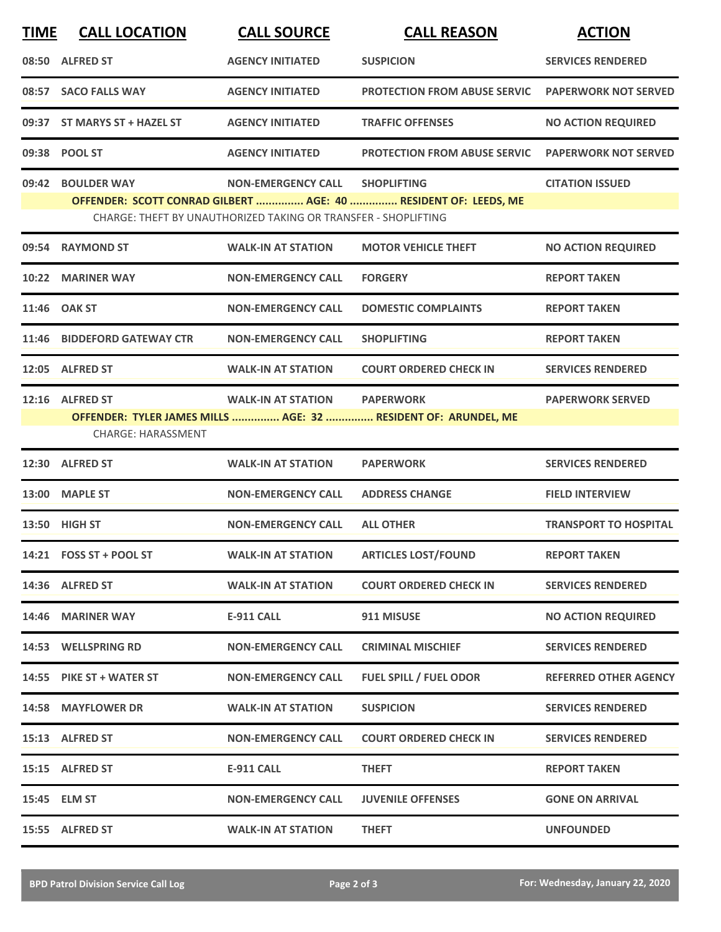| <b>TIME</b> | <b>CALL LOCATION</b>                         | <b>CALL SOURCE</b>                                                                          | <b>CALL REASON</b>                                                                    | <b>ACTION</b>                |
|-------------|----------------------------------------------|---------------------------------------------------------------------------------------------|---------------------------------------------------------------------------------------|------------------------------|
|             | 08:50 ALFRED ST                              | <b>AGENCY INITIATED</b>                                                                     | <b>SUSPICION</b>                                                                      | <b>SERVICES RENDERED</b>     |
|             | 08:57 SACO FALLS WAY                         | <b>AGENCY INITIATED</b>                                                                     | <b>PROTECTION FROM ABUSE SERVIC</b>                                                   | <b>PAPERWORK NOT SERVED</b>  |
|             | 09:37 ST MARYS ST + HAZEL ST                 | <b>AGENCY INITIATED</b>                                                                     | <b>TRAFFIC OFFENSES</b>                                                               | <b>NO ACTION REQUIRED</b>    |
|             | 09:38 POOL ST                                | <b>AGENCY INITIATED</b>                                                                     | <b>PROTECTION FROM ABUSE SERVIC</b>                                                   | <b>PAPERWORK NOT SERVED</b>  |
| 09:42       | <b>BOULDER WAY</b>                           | <b>NON-EMERGENCY CALL</b><br>CHARGE: THEFT BY UNAUTHORIZED TAKING OR TRANSFER - SHOPLIFTING | <b>SHOPLIFTING</b><br>OFFENDER: SCOTT CONRAD GILBERT  AGE: 40  RESIDENT OF: LEEDS, ME | <b>CITATION ISSUED</b>       |
|             | 09:54 RAYMOND ST                             | <b>WALK-IN AT STATION</b>                                                                   | <b>MOTOR VEHICLE THEFT</b>                                                            | <b>NO ACTION REQUIRED</b>    |
| 10:22       | <b>MARINER WAY</b>                           | <b>NON-EMERGENCY CALL</b>                                                                   | <b>FORGERY</b>                                                                        | <b>REPORT TAKEN</b>          |
|             | 11:46 OAK ST                                 | <b>NON-EMERGENCY CALL</b>                                                                   | <b>DOMESTIC COMPLAINTS</b>                                                            | <b>REPORT TAKEN</b>          |
|             | 11:46 BIDDEFORD GATEWAY CTR                  | <b>NON-EMERGENCY CALL</b>                                                                   | <b>SHOPLIFTING</b>                                                                    | <b>REPORT TAKEN</b>          |
|             | 12:05 ALFRED ST                              | <b>WALK-IN AT STATION</b>                                                                   | <b>COURT ORDERED CHECK IN</b>                                                         | <b>SERVICES RENDERED</b>     |
|             | 12:16 ALFRED ST<br><b>CHARGE: HARASSMENT</b> | <b>WALK-IN AT STATION</b>                                                                   | <b>PAPERWORK</b><br>OFFENDER: TYLER JAMES MILLS  AGE: 32  RESIDENT OF: ARUNDEL, ME    | <b>PAPERWORK SERVED</b>      |
|             | 12:30 ALFRED ST                              | <b>WALK-IN AT STATION</b>                                                                   | <b>PAPERWORK</b>                                                                      | <b>SERVICES RENDERED</b>     |
|             | 13:00 MAPLE ST                               | <b>NON-EMERGENCY CALL</b>                                                                   | <b>ADDRESS CHANGE</b>                                                                 | <b>FIELD INTERVIEW</b>       |
|             | 13:50 HIGH ST                                | <b>NON-EMERGENCY CALL</b>                                                                   | <b>ALL OTHER</b>                                                                      | <b>TRANSPORT TO HOSPITAL</b> |
|             | 14:21  FOSS ST + POOL ST                     | <b>WALK-IN AT STATION</b>                                                                   | <b>ARTICLES LOST/FOUND</b>                                                            | <b>REPORT TAKEN</b>          |
|             | 14:36 ALFRED ST                              | <b>WALK-IN AT STATION</b>                                                                   | <b>COURT ORDERED CHECK IN</b>                                                         | <b>SERVICES RENDERED</b>     |
|             | 14:46 MARINER WAY                            | <b>E-911 CALL</b>                                                                           | 911 MISUSE                                                                            | <b>NO ACTION REQUIRED</b>    |
|             | 14:53 WELLSPRING RD                          | <b>NON-EMERGENCY CALL</b>                                                                   | <b>CRIMINAL MISCHIEF</b>                                                              | <b>SERVICES RENDERED</b>     |
|             | 14:55 PIKE ST + WATER ST                     | <b>NON-EMERGENCY CALL</b>                                                                   | <b>FUEL SPILL / FUEL ODOR</b>                                                         | <b>REFERRED OTHER AGENCY</b> |
|             | 14:58 MAYFLOWER DR                           | <b>WALK-IN AT STATION</b>                                                                   | <b>SUSPICION</b>                                                                      | <b>SERVICES RENDERED</b>     |
|             | 15:13 ALFRED ST                              | <b>NON-EMERGENCY CALL</b>                                                                   | <b>COURT ORDERED CHECK IN</b>                                                         | <b>SERVICES RENDERED</b>     |
|             | 15:15 ALFRED ST                              | <b>E-911 CALL</b>                                                                           | <b>THEFT</b>                                                                          | <b>REPORT TAKEN</b>          |
|             | 15:45 ELM ST                                 | <b>NON-EMERGENCY CALL</b>                                                                   | <b>JUVENILE OFFENSES</b>                                                              | <b>GONE ON ARRIVAL</b>       |
|             | 15:55 ALFRED ST                              | <b>WALK-IN AT STATION</b>                                                                   | <b>THEFT</b>                                                                          | <b>UNFOUNDED</b>             |